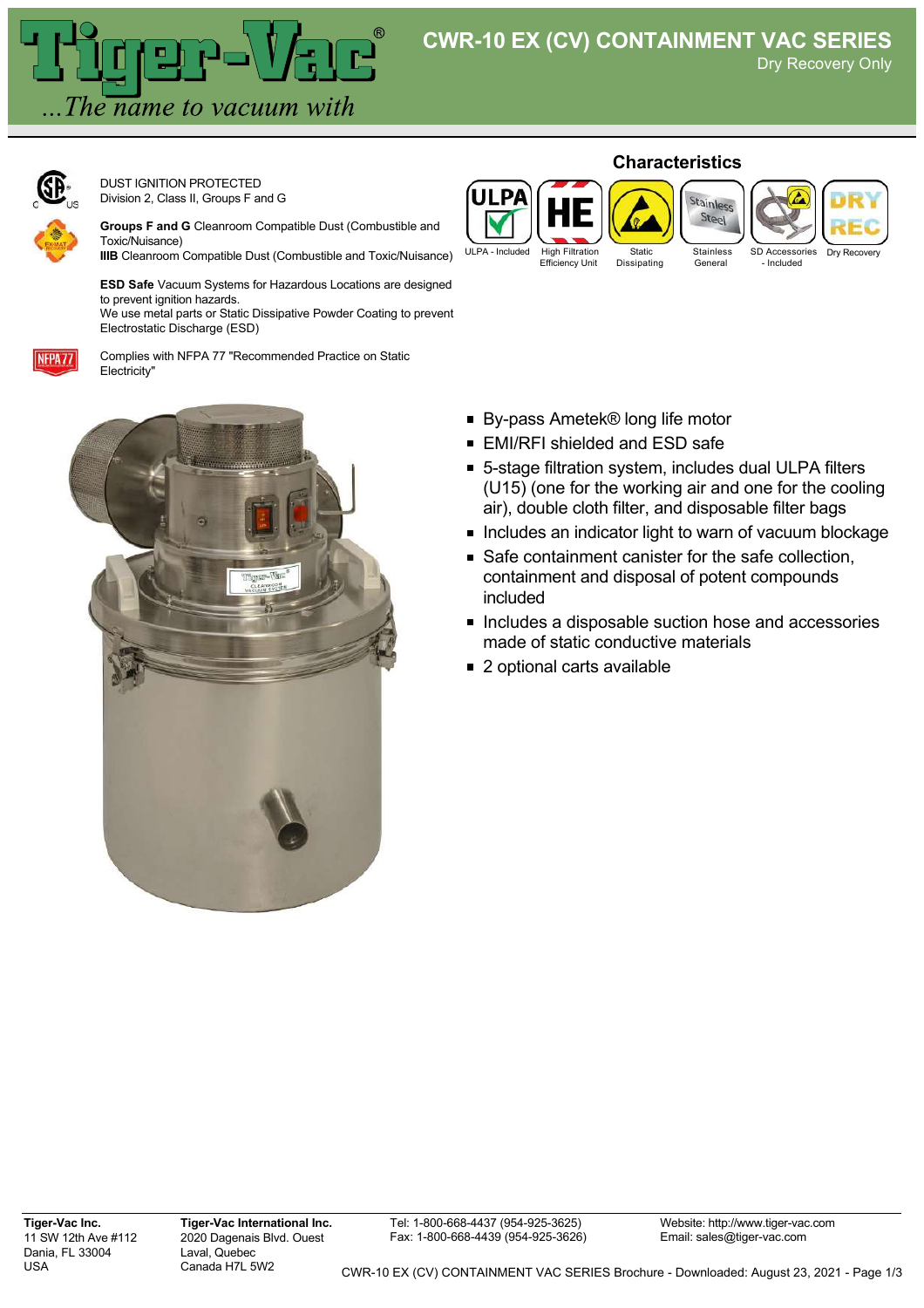Dry Recovery Only



DUST IGNITION PROTECTED Division 2, Class II, Groups F and G

**Groups F and G** Cleanroom Compatible Dust (Combustible and Toxic/Nuisance)

**IIIB** Cleanroom Compatible Dust (Combustible and Toxic/Nuisance)

**ESD Safe** Vacuum Systems for Hazardous Locations are designed to prevent ignition hazards.

We use metal parts or Static Dissipative Powder Coating to prevent Electrostatic Discharge (ESD)



Complies with NFPA 77 "Recommended Practice on Static Electricity"



## **Characteristics**



Dry

■ By-pass Ametek® long life motor

- EMI/RFI shielded and ESD safe
- 5-stage filtration system, includes dual ULPA filters (U15) (one for the working air and one for the cooling air), double cloth filter, and disposable filter bags
- **Includes an indicator light to warn of vacuum blockage**
- Safe containment canister for the safe collection. containment and disposal of potent compounds included
- Includes a disposable suction hose and accessories made of static conductive materials
- 2 optional carts available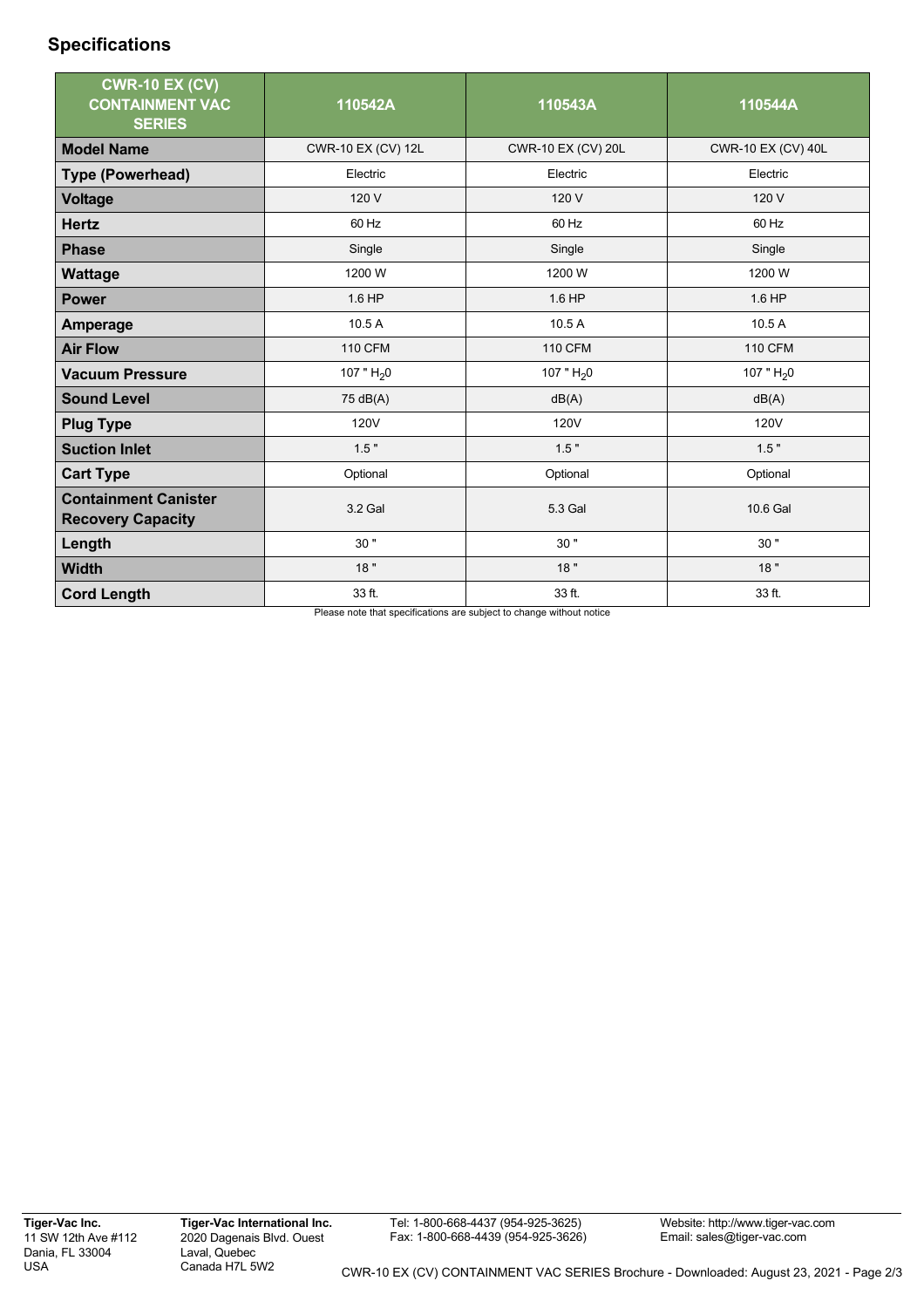## **Specifications**

| <b>CWR-10 EX (CV)</b><br><b>CONTAINMENT VAC</b><br><b>SERIES</b> | 110542A            | 110543A            | 110544A            |
|------------------------------------------------------------------|--------------------|--------------------|--------------------|
| <b>Model Name</b>                                                | CWR-10 EX (CV) 12L | CWR-10 EX (CV) 20L | CWR-10 EX (CV) 40L |
| <b>Type (Powerhead)</b>                                          | Electric           | Electric           | Electric           |
| <b>Voltage</b>                                                   | 120 V              | 120 V              | 120 V              |
| <b>Hertz</b>                                                     | 60 Hz              | 60 Hz              | 60 Hz              |
| <b>Phase</b>                                                     | Single             | Single             | Single             |
| <b>Wattage</b>                                                   | 1200 W             | 1200 W             | 1200 W             |
| <b>Power</b>                                                     | 1.6 HP             | 1.6 HP             | 1.6 HP             |
| <b>Amperage</b>                                                  | 10.5A              | 10.5A              | 10.5 A             |
| <b>Air Flow</b>                                                  | <b>110 CFM</b>     | <b>110 CFM</b>     | <b>110 CFM</b>     |
| <b>Vacuum Pressure</b>                                           | 107 " $H_2$ 0      | 107 " $H20$        | 107 " $H_2$ 0      |
| <b>Sound Level</b>                                               | 75 dB(A)           | dB(A)              | dB(A)              |
| <b>Plug Type</b>                                                 | <b>120V</b>        | 120V               | 120V               |
| <b>Suction Inlet</b>                                             | 1.5"               | 1.5"               | 1.5"               |
| <b>Cart Type</b>                                                 | Optional           | Optional           | Optional           |
| <b>Containment Canister</b><br><b>Recovery Capacity</b>          | 3.2 Gal            | 5.3 Gal            | 10.6 Gal           |
| Length                                                           | 30"                | 30"                | 30"                |
| <b>Width</b>                                                     | 18"                | 18"                | 18"                |
| <b>Cord Length</b>                                               | 33 ft.             | 33 ft.             | 33 ft.             |

Please note that specifications are subject to change without notice